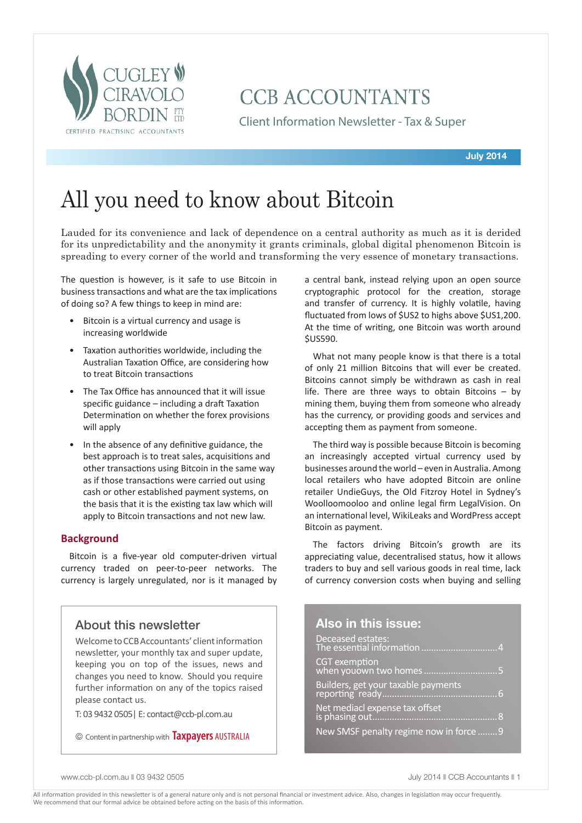

## **CCB ACCOUNTANTS**

Client Information Newsletter - Tax & Super

## All you need to know about Bitcoin

Lauded for its convenience and lack of dependence on a central authority as much as it is derided for its unpredictability and the anonymity it grants criminals, global digital phenomenon Bitcoin is spreading to every corner of the world and transforming the very essence of monetary transactions.

The question is however, is it safe to use Bitcoin in business transactions and what are the tax implications of doing so? A few things to keep in mind are:

- Bitcoin is a virtual currency and usage is increasing worldwide
- Taxation authorities worldwide, including the Australian Taxation Office, are considering how to treat Bitcoin transactions
- The Tax Office has announced that it will issue specific guidance – including a draft Taxation Determination on whether the forex provisions will apply
- In the absence of any definitive guidance, the best approach is to treat sales, acquisitions and other transactions using Bitcoin in the same way as if those transactions were carried out using cash or other established payment systems, on the basis that it is the existing tax law which will apply to Bitcoin transactions and not new law.

## **Background**

Bitcoin is a five-year old computer-driven virtual currency traded on peer-to-peer networks. The currency is largely unregulated, nor is it managed by

## About this newsletter

Welcome to CCB Accountants' client information newsletter, your monthly tax and super update, keeping you on top of the issues, news and changes you need to know. Should you require further information on any of the topics raised please contact us.

T: 03 9432 0505| E: contact@ccb-pl.com.au

© Content in partnership with **Taxpayers** AUSTRALIA

a central bank, instead relying upon an open source cryptographic protocol for the creation, storage and transfer of currency. It is highly volatile, having fluctuated from lows of \$US2 to highs above \$US1,200. At the time of writing, one Bitcoin was worth around \$US590.

What not many people know is that there is a total of only 21 million Bitcoins that will ever be created. Bitcoins cannot simply be withdrawn as cash in real life. There are three ways to obtain Bitcoins – by mining them, buying them from someone who already has the currency, or providing goods and services and accepting them as payment from someone.

The third way is possible because Bitcoin is becoming an increasingly accepted virtual currency used by businesses around the world – even in Australia. Among local retailers who have adopted Bitcoin are online retailer UndieGuys, the Old Fitzroy Hotel in Sydney's Woolloomooloo and online legal firm LegalVision. On an international level, WikiLeaks and WordPress accept Bitcoin as payment.

The factors driving Bitcoin's growth are its appreciating value, decentralised status, how it allows traders to buy and sell various goods in real time, lack of currency conversion costs when buying and selling

## **Also in this issue:**

| Deceased estates:<br>The essential information 4 |
|--------------------------------------------------|
|                                                  |
| Builders, get your taxable payments              |
| Net mediacl expense tax offset                   |
| New SMSF penalty regime now in force  9          |

www.ccb-pl.com.au || 03 9432 0505 || 03 9432 0505 || 03 9432 0505 || 03 9432 0505 || 03 9432 0505 || 03 9432 0505 || 03 9432 0505 || 03 9432 0505 || 03 9432 0505 || 03 9432 0505 || 03 9432 0505 || 03 9432 0505 || 03 9432 0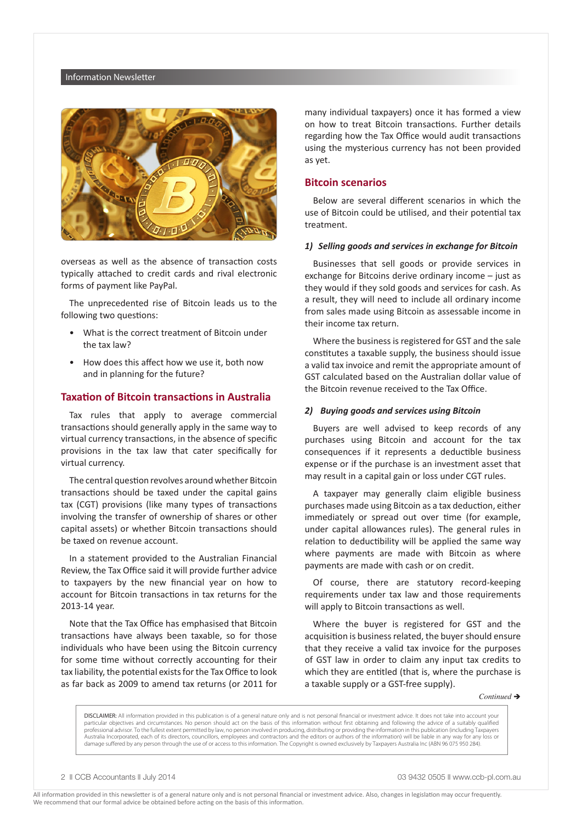#### Information Newsletter



overseas as well as the absence of transaction costs typically attached to credit cards and rival electronic forms of payment like PayPal.

The unprecedented rise of Bitcoin leads us to the following two questions:

- What is the correct treatment of Bitcoin under the tax law?
- How does this affect how we use it, both now and in planning for the future?

#### **Taxation of Bitcoin transactions in Australia**

Tax rules that apply to average commercial transactions should generally apply in the same way to virtual currency transactions, in the absence of specific provisions in the tax law that cater specifically for virtual currency.

The central question revolves around whether Bitcoin transactions should be taxed under the capital gains tax (CGT) provisions (like many types of transactions involving the transfer of ownership of shares or other capital assets) or whether Bitcoin transactions should be taxed on revenue account.

In a statement provided to the Australian Financial Review, the Tax Office said it will provide further advice to taxpayers by the new financial year on how to account for Bitcoin transactions in tax returns for the 2013-14 year.

Note that the Tax Office has emphasised that Bitcoin transactions have always been taxable, so for those individuals who have been using the Bitcoin currency for some time without correctly accounting for their tax liability, the potential exists for the Tax Office to look as far back as 2009 to amend tax returns (or 2011 for many individual taxpayers) once it has formed a view on how to treat Bitcoin transactions. Further details regarding how the Tax Office would audit transactions using the mysterious currency has not been provided as yet.

## **Bitcoin scenarios**

Below are several different scenarios in which the use of Bitcoin could be utilised, and their potential tax treatment.

#### *1) Selling goods and services in exchange for Bitcoin*

Businesses that sell goods or provide services in exchange for Bitcoins derive ordinary income – just as they would if they sold goods and services for cash. As a result, they will need to include all ordinary income from sales made using Bitcoin as assessable income in their income tax return.

Where the business is registered for GST and the sale constitutes a taxable supply, the business should issue a valid tax invoice and remit the appropriate amount of GST calculated based on the Australian dollar value of the Bitcoin revenue received to the Tax Office.

#### *2) Buying goods and services using Bitcoin*

Buyers are well advised to keep records of any purchases using Bitcoin and account for the tax consequences if it represents a deductible business expense or if the purchase is an investment asset that may result in a capital gain or loss under CGT rules.

A taxpayer may generally claim eligible business purchases made using Bitcoin as a tax deduction, either immediately or spread out over time (for example, under capital allowances rules). The general rules in relation to deductibility will be applied the same way where payments are made with Bitcoin as where payments are made with cash or on credit.

Of course, there are statutory record-keeping requirements under tax law and those requirements will apply to Bitcoin transactions as well.

Where the buyer is registered for GST and the acquisition is business related, the buyer should ensure that they receive a valid tax invoice for the purposes of GST law in order to claim any input tax credits to which they are entitled (that is, where the purchase is a taxable supply or a GST-free supply).

 $Continued \rightarrow$ 

DISCLAIMER: All information provided in this publication is of a general nature only and is not personal financial or investment advice. It does not take into account your particular objectives and circumstances. No person should act on the basis of this information without first obtaining and following the advice of a suitably qualified professional advisor. To the fullest extent permitted by law, no person involved in producing, distributing or providing the information in this publication (including Taxpayers Australia Incorporated, each of its directors, councillors, employees and contractors and the editors or authors of the information) will be liable in any way for any loss or damage suffered by any person through the use of or access to this information. The Copyright is owned exclusively by Taxpayers Australia Inc (ABN 96 075 950 284).

2  $\parallel$  CCB Accountants  $\parallel$  July 2014 03 9432 0505  $\parallel$  www.ccb-pl.com.au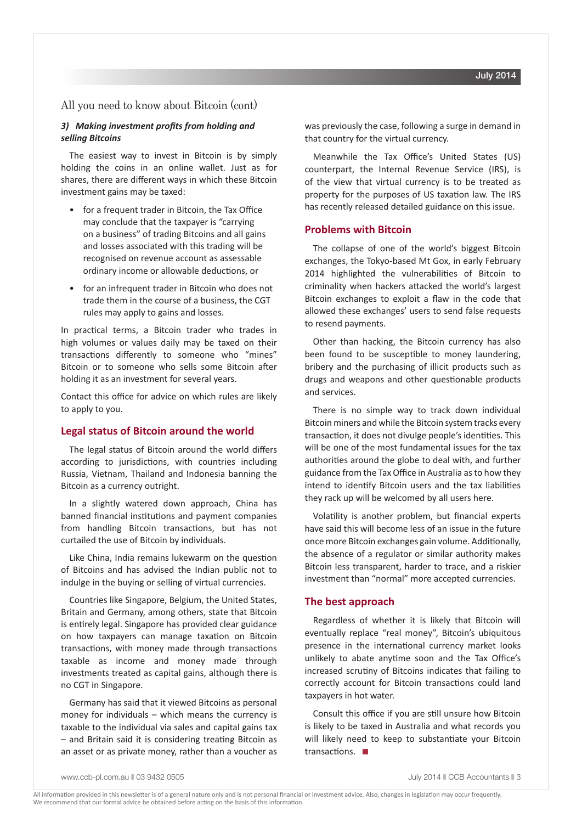## All you need to know about Bitcoin (cont)

## *3) Making investment profits from holding and selling Bitcoins*

The easiest way to invest in Bitcoin is by simply holding the coins in an online wallet. Just as for shares, there are different ways in which these Bitcoin investment gains may be taxed:

- for a frequent trader in Bitcoin, the Tax Office may conclude that the taxpayer is "carrying on a business" of trading Bitcoins and all gains and losses associated with this trading will be recognised on revenue account as assessable ordinary income or allowable deductions, or
- for an infrequent trader in Bitcoin who does not trade them in the course of a business, the CGT rules may apply to gains and losses.

In practical terms, a Bitcoin trader who trades in high volumes or values daily may be taxed on their transactions differently to someone who "mines" Bitcoin or to someone who sells some Bitcoin after holding it as an investment for several years.

Contact this office for advice on which rules are likely to apply to you.

### **Legal status of Bitcoin around the world**

The legal status of Bitcoin around the world differs according to jurisdictions, with countries including Russia, Vietnam, Thailand and Indonesia banning the Bitcoin as a currency outright.

In a slightly watered down approach, China has banned financial institutions and payment companies from handling Bitcoin transactions, but has not curtailed the use of Bitcoin by individuals.

Like China, India remains lukewarm on the question of Bitcoins and has advised the Indian public not to indulge in the buying or selling of virtual currencies.

Countries like Singapore, Belgium, the United States, Britain and Germany, among others, state that Bitcoin is entirely legal. Singapore has provided clear guidance on how taxpayers can manage taxation on Bitcoin transactions, with money made through transactions taxable as income and money made through investments treated as capital gains, although there is no CGT in Singapore.

Germany has said that it viewed Bitcoins as personal money for individuals – which means the currency is taxable to the individual via sales and capital gains tax – and Britain said it is considering treating Bitcoin as an asset or as private money, rather than a voucher as was previously the case, following a surge in demand in that country for the virtual currency.

Meanwhile the Tax Office's United States (US) counterpart, the Internal Revenue Service (IRS), is of the view that virtual currency is to be treated as property for the purposes of US taxation law. The IRS has recently released detailed guidance on this issue.

## **Problems with Bitcoin**

The collapse of one of the world's biggest Bitcoin exchanges, the Tokyo-based Mt Gox, in early February 2014 highlighted the vulnerabilities of Bitcoin to criminality when hackers attacked the world's largest Bitcoin exchanges to exploit a flaw in the code that allowed these exchanges' users to send false requests to resend payments.

Other than hacking, the Bitcoin currency has also been found to be susceptible to money laundering, bribery and the purchasing of illicit products such as drugs and weapons and other questionable products and services.

There is no simple way to track down individual Bitcoin miners and while the Bitcoin system tracks every transaction, it does not divulge people's identities. This will be one of the most fundamental issues for the tax authorities around the globe to deal with, and further guidance from the Tax Office in Australia as to how they intend to identify Bitcoin users and the tax liabilities they rack up will be welcomed by all users here.

Volatility is another problem, but financial experts have said this will become less of an issue in the future once more Bitcoin exchanges gain volume. Additionally, the absence of a regulator or similar authority makes Bitcoin less transparent, harder to trace, and a riskier investment than "normal" more accepted currencies.

#### **The best approach**

Regardless of whether it is likely that Bitcoin will eventually replace "real money", Bitcoin's ubiquitous presence in the international currency market looks unlikely to abate anytime soon and the Tax Office's increased scrutiny of Bitcoins indicates that failing to correctly account for Bitcoin transactions could land taxpayers in hot water.

Consult this office if you are still unsure how Bitcoin is likely to be taxed in Australia and what records you will likely need to keep to substantiate your Bitcoin transactions.  $\blacksquare$ 

www.ccb-pl.com.au || 03 9432 0505 || 03 0505 || 03 9432 0505 || 03 9432 0505 || 03 9432 0505 || 03 9432 0505 |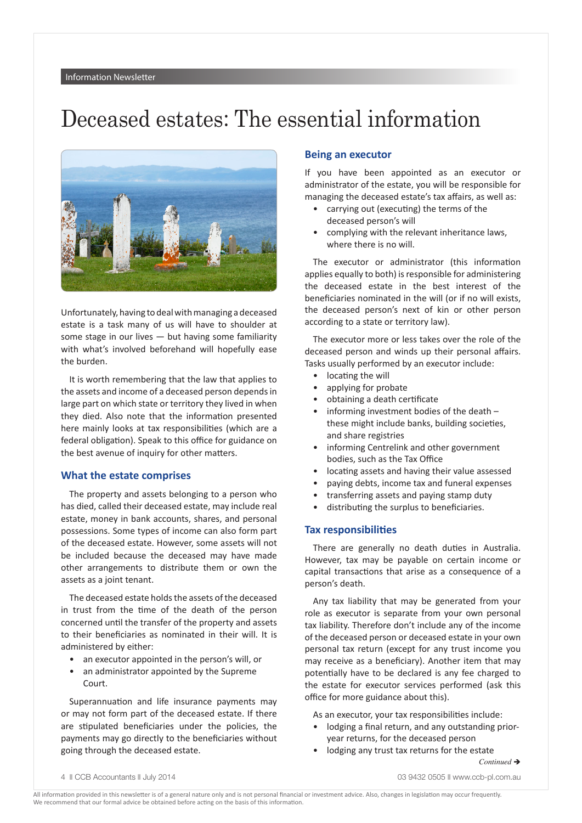## Deceased estates: The essential information



Unfortunately, having to deal with managing a deceased estate is a task many of us will have to shoulder at some stage in our lives  $-$  but having some familiarity with what's involved beforehand will hopefully ease the burden.

It is worth remembering that the law that applies to the assets and income of a deceased person depends in large part on which state or territory they lived in when they died. Also note that the information presented here mainly looks at tax responsibilities (which are a federal obligation). Speak to this office for guidance on the best avenue of inquiry for other matters.

#### **What the estate comprises**

The property and assets belonging to a person who has died, called their deceased estate, may include real estate, money in bank accounts, shares, and personal possessions. Some types of income can also form part of the deceased estate. However, some assets will not be included because the deceased may have made other arrangements to distribute them or own the assets as a joint tenant.

The deceased estate holds the assets of the deceased in trust from the time of the death of the person concerned until the transfer of the property and assets to their beneficiaries as nominated in their will. It is administered by either:

- an executor appointed in the person's will, or
- an administrator appointed by the Supreme Court.

Superannuation and life insurance payments may or may not form part of the deceased estate. If there are stipulated beneficiaries under the policies, the payments may go directly to the beneficiaries without going through the deceased estate.

## **Being an executor**

If you have been appointed as an executor or administrator of the estate, you will be responsible for managing the deceased estate's tax affairs, as well as:

- carrying out (executing) the terms of the deceased person's will
- complying with the relevant inheritance laws, where there is no will.

The executor or administrator (this information applies equally to both) is responsible for administering the deceased estate in the best interest of the beneficiaries nominated in the will (or if no will exists, the deceased person's next of kin or other person according to a state or territory law).

The executor more or less takes over the role of the deceased person and winds up their personal affairs. Tasks usually performed by an executor include:

- locating the will
- applying for probate
- obtaining a death certificate
- informing investment bodies of the death these might include banks, building societies, and share registries
- informing Centrelink and other government bodies, such as the Tax Office
- locating assets and having their value assessed
- paying debts, income tax and funeral expenses
- transferring assets and paying stamp duty
- distributing the surplus to beneficiaries.

### **Tax responsibilities**

There are generally no death duties in Australia. However, tax may be payable on certain income or capital transactions that arise as a consequence of a person's death.

Any tax liability that may be generated from your role as executor is separate from your own personal tax liability. Therefore don't include any of the income of the deceased person or deceased estate in your own personal tax return (except for any trust income you may receive as a beneficiary). Another item that may potentially have to be declared is any fee charged to the estate for executor services performed (ask this office for more guidance about this).

As an executor, your tax responsibilities include:

- lodging a final return, and any outstanding prioryear returns, for the deceased person
- lodging any trust tax returns for the estate

 $Continued \rightarrow$ 

4  $\parallel$  CCB Accountants  $\parallel$  July 2014 03 9432 0505  $\parallel$  www.ccb-pl.com.au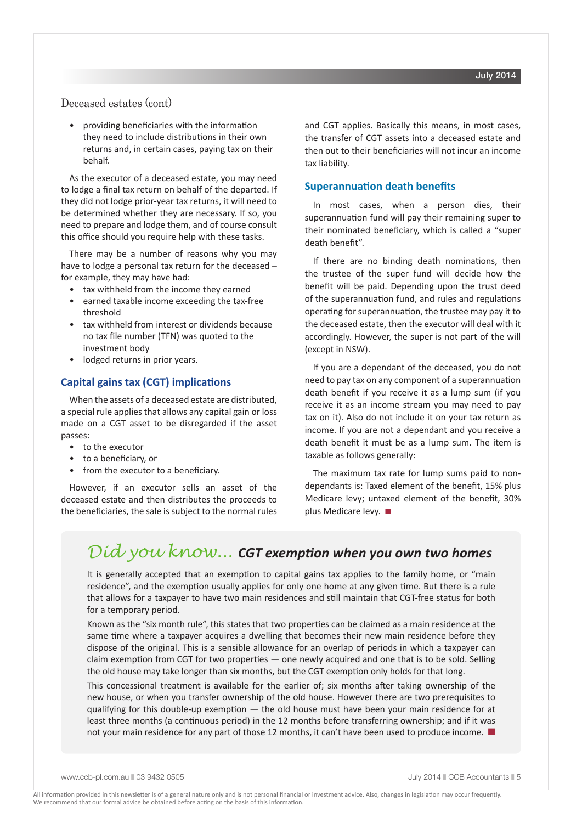## Deceased estates (cont)

• providing beneficiaries with the information they need to include distributions in their own returns and, in certain cases, paying tax on their behalf.

As the executor of a deceased estate, you may need to lodge a final tax return on behalf of the departed. If they did not lodge prior-year tax returns, it will need to be determined whether they are necessary. If so, you need to prepare and lodge them, and of course consult this office should you require help with these tasks.

There may be a number of reasons why you may have to lodge a personal tax return for the deceased – for example, they may have had:

- tax withheld from the income they earned
- earned taxable income exceeding the tax-free threshold
- tax withheld from interest or dividends because no tax file number (TFN) was quoted to the investment body
- lodged returns in prior years.

## **Capital gains tax (CGT) implications**

When the assets of a deceased estate are distributed, a special rule applies that allows any capital gain or loss made on a CGT asset to be disregarded if the asset passes:

- to the executor
- to a beneficiary, or
- from the executor to a beneficiary.

However, if an executor sells an asset of the deceased estate and then distributes the proceeds to the beneficiaries, the sale is subject to the normal rules and CGT applies. Basically this means, in most cases, the transfer of CGT assets into a deceased estate and then out to their beneficiaries will not incur an income tax liability.

### **Superannuation death benefits**

In most cases, when a person dies, their superannuation fund will pay their remaining super to their nominated beneficiary, which is called a "super death benefit".

If there are no binding death nominations, then the trustee of the super fund will decide how the benefit will be paid. Depending upon the trust deed of the superannuation fund, and rules and regulations operating for superannuation, the trustee may pay it to the deceased estate, then the executor will deal with it accordingly. However, the super is not part of the will (except in NSW).

If you are a dependant of the deceased, you do not need to pay tax on any component of a superannuation death benefit if you receive it as a lump sum (if you receive it as an income stream you may need to pay tax on it). Also do not include it on your tax return as income. If you are not a dependant and you receive a death benefit it must be as a lump sum. The item is taxable as follows generally:

The maximum tax rate for lump sums paid to nondependants is: Taxed element of the benefit, 15% plus Medicare levy; untaxed element of the benefit, 30% plus Medicare levy.  $\blacksquare$ 

## *Did you know... CGT exemption when you own two homes*

It is generally accepted that an exemption to capital gains tax applies to the family home, or "main residence", and the exemption usually applies for only one home at any given time. But there is a rule that allows for a taxpayer to have two main residences and still maintain that CGT-free status for both for a temporary period.

Known as the "six month rule", this states that two properties can be claimed as a main residence at the same time where a taxpayer acquires a dwelling that becomes their new main residence before they dispose of the original. This is a sensible allowance for an overlap of periods in which a taxpayer can claim exemption from CGT for two properties — one newly acquired and one that is to be sold. Selling the old house may take longer than six months, but the CGT exemption only holds for that long.

This concessional treatment is available for the earlier of; six months after taking ownership of the new house, or when you transfer ownership of the old house. However there are two prerequisites to qualifying for this double-up exemption — the old house must have been your main residence for at least three months (a continuous period) in the 12 months before transferring ownership; and if it was not your main residence for any part of those 12 months, it can't have been used to produce income.  $\blacksquare$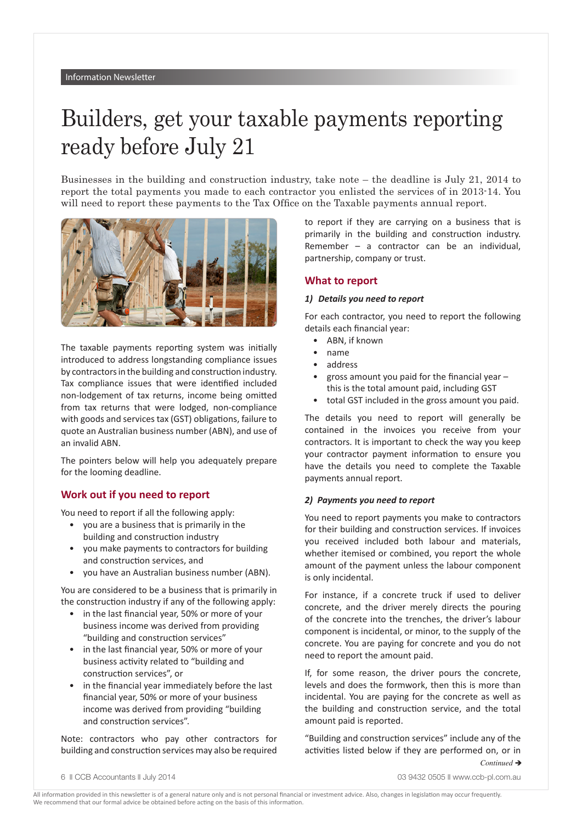# Builders, get your taxable payments reporting ready before July 21

Businesses in the building and construction industry, take note – the deadline is July 21, 2014 to report the total payments you made to each contractor you enlisted the services of in 2013-14. You will need to report these payments to the Tax Office on the Taxable payments annual report.



The taxable payments reporting system was initially introduced to address longstanding compliance issues by contractors in the building and construction industry. Tax compliance issues that were identified included non-lodgement of tax returns, income being omitted from tax returns that were lodged, non-compliance with goods and services tax (GST) obligations, failure to quote an Australian business number (ABN), and use of an invalid ABN.

The pointers below will help you adequately prepare for the looming deadline.

## **Work out if you need to report**

You need to report if all the following apply:

- you are a business that is primarily in the building and construction industry
- you make payments to contractors for building and construction services, and
- you have an Australian business number (ABN).

You are considered to be a business that is primarily in the construction industry if any of the following apply:

- in the last financial year, 50% or more of your business income was derived from providing "building and construction services"
- in the last financial year, 50% or more of your business activity related to "building and construction services", or
- in the financial year immediately before the last financial year, 50% or more of your business income was derived from providing "building and construction services".

Note: contractors who pay other contractors for building and construction services may also be required to report if they are carrying on a business that is primarily in the building and construction industry. Remember – a contractor can be an individual, partnership, company or trust.

## **What to report**

#### *1) Details you need to report*

For each contractor, you need to report the following details each financial year:

- ABN, if known
- name
- address
- gross amount you paid for the financial year  $$ this is the total amount paid, including GST
- total GST included in the gross amount you paid.

The details you need to report will generally be contained in the invoices you receive from your contractors. It is important to check the way you keep your contractor payment information to ensure you have the details you need to complete the Taxable payments annual report.

#### *2) Payments you need to report*

You need to report payments you make to contractors for their building and construction services. If invoices you received included both labour and materials, whether itemised or combined, you report the whole amount of the payment unless the labour component is only incidental.

For instance, if a concrete truck if used to deliver concrete, and the driver merely directs the pouring of the concrete into the trenches, the driver's labour component is incidental, or minor, to the supply of the concrete. You are paying for concrete and you do not need to report the amount paid.

If, for some reason, the driver pours the concrete, levels and does the formwork, then this is more than incidental. You are paying for the concrete as well as the building and construction service, and the total amount paid is reported.

"Building and construction services" include any of the activities listed below if they are performed on, or in *Continued* è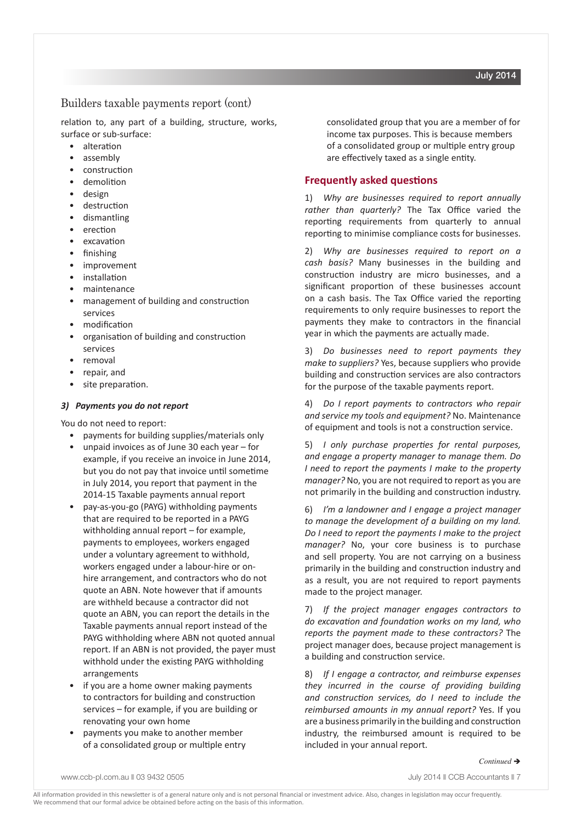## Builders taxable payments report (cont)

relation to, any part of a building, structure, works, surface or sub-surface:

- alteration
- assembly
- construction
- demolition
- design
- destruction
- dismantling
- erection
- excavation
- finishing
- improvement
- installation
- maintenance
- management of building and construction services
- modification
- organisation of building and construction services
- removal
- repair, and
- site preparation.

## *3) Payments you do not report*

You do not need to report:

- payments for building supplies/materials only
- unpaid invoices as of June 30 each year  $-$  for example, if you receive an invoice in June 2014, but you do not pay that invoice until sometime in July 2014, you report that payment in the 2014-15 Taxable payments annual report
- pay-as-you-go (PAYG) withholding payments that are required to be reported in a PAYG withholding annual report – for example, payments to employees, workers engaged under a voluntary agreement to withhold, workers engaged under a labour-hire or onhire arrangement, and contractors who do not quote an ABN. Note however that if amounts are withheld because a contractor did not quote an ABN, you can report the details in the Taxable payments annual report instead of the PAYG withholding where ABN not quoted annual report. If an ABN is not provided, the payer must withhold under the existing PAYG withholding arrangements
- if you are a home owner making payments to contractors for building and construction services – for example, if you are building or renovating your own home
- payments you make to another member of a consolidated group or multiple entry

consolidated group that you are a member of for income tax purposes. This is because members of a consolidated group or multiple entry group are effectively taxed as a single entity.

## **Frequently asked questions**

1) *Why are businesses required to report annually rather than quarterly?* The Tax Office varied the reporting requirements from quarterly to annual reporting to minimise compliance costs for businesses.

2) *Why are businesses required to report on a cash basis?* Many businesses in the building and construction industry are micro businesses, and a significant proportion of these businesses account on a cash basis. The Tax Office varied the reporting requirements to only require businesses to report the payments they make to contractors in the financial year in which the payments are actually made.

3) *Do businesses need to report payments they make to suppliers?* Yes, because suppliers who provide building and construction services are also contractors for the purpose of the taxable payments report.

4) *Do I report payments to contractors who repair and service my tools and equipment?* No. Maintenance of equipment and tools is not a construction service.

5) *I only purchase properties for rental purposes, and engage a property manager to manage them. Do I need to report the payments I make to the property manager?* No, you are not required to report as you are not primarily in the building and construction industry.

6) *I'm a landowner and I engage a project manager to manage the development of a building on my land. Do I need to report the payments I make to the project manager?* No, your core business is to purchase and sell property. You are not carrying on a business primarily in the building and construction industry and as a result, you are not required to report payments made to the project manager.

7) *If the project manager engages contractors to do excavation and foundation works on my land, who reports the payment made to these contractors?* The project manager does, because project management is a building and construction service.

8) *If I engage a contractor, and reimburse expenses they incurred in the course of providing building and construction services, do I need to include the reimbursed amounts in my annual report?* Yes. If you are a business primarily in the building and construction industry, the reimbursed amount is required to be included in your annual report.

July 2014

#### *Continued* è

www.ccb-pl.com.au || 03 9432 0505 || 03 || 03 9432 0505 || 03 || 03 || 03 || 05 || 05 || 05 || 05 || 05 || 05 |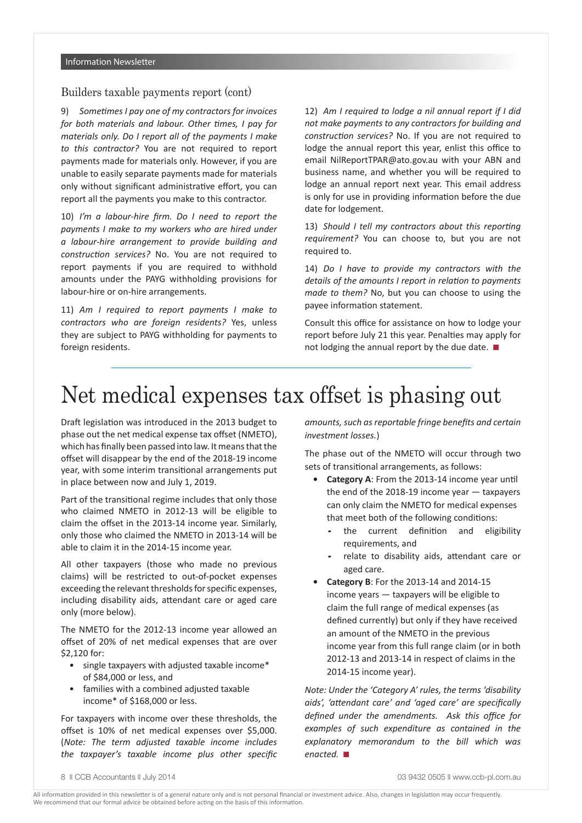## Builders taxable payments report (cont)

9) *Sometimes I pay one of my contractors for invoices for both materials and labour. Other times, I pay for materials only. Do I report all of the payments I make to this contractor?* You are not required to report payments made for materials only. However, if you are unable to easily separate payments made for materials only without significant administrative effort, you can report all the payments you make to this contractor.

10) *I'm a labour-hire firm. Do I need to report the payments I make to my workers who are hired under a labour-hire arrangement to provide building and construction services?* No. You are not required to report payments if you are required to withhold amounts under the PAYG withholding provisions for labour-hire or on-hire arrangements.

11) *Am I required to report payments I make to contractors who are foreign residents?* Yes, unless they are subject to PAYG withholding for payments to foreign residents.

12) *Am I required to lodge a nil annual report if I did not make payments to any contractors for building and construction services?* No. If you are not required to lodge the annual report this year, enlist this office to email NilReportTPAR@ato.gov.au with your ABN and business name, and whether you will be required to lodge an annual report next year. This email address is only for use in providing information before the due date for lodgement.

13) *Should I tell my contractors about this reporting requirement?* You can choose to, but you are not required to.

14) *Do I have to provide my contractors with the details of the amounts I report in relation to payments made to them?* No, but you can choose to using the payee information statement.

Consult this office for assistance on how to lodge your report before July 21 this year. Penalties may apply for not lodging the annual report by the due date.  $\blacksquare$ 

## Net medical expenses tax offset is phasing out

Draft legislation was introduced in the 2013 budget to phase out the net medical expense tax offset (NMETO), which has finally been passed into law. It means that the offset will disappear by the end of the 2018-19 income year, with some interim transitional arrangements put in place between now and July 1, 2019.

Part of the transitional regime includes that only those who claimed NMETO in 2012-13 will be eligible to claim the offset in the 2013-14 income year. Similarly, only those who claimed the NMETO in 2013-14 will be able to claim it in the 2014-15 income year.

All other taxpayers (those who made no previous claims) will be restricted to out-of-pocket expenses exceeding the relevant thresholds for specific expenses, including disability aids, attendant care or aged care only (more below).

The NMETO for the 2012-13 income year allowed an offset of 20% of net medical expenses that are over \$2,120 for:

- single taxpayers with adjusted taxable income\* of \$84,000 or less, and
- families with a combined adjusted taxable income\* of \$168,000 or less.

For taxpayers with income over these thresholds, the offset is 10% of net medical expenses over \$5,000. (*Note: The term adjusted taxable income includes the taxpayer's taxable income plus other specific*  *amounts, such as reportable fringe benefits and certain investment losses.*)

The phase out of the NMETO will occur through two sets of transitional arrangements, as follows:

- **• Category A**: From the 2013-14 income year until the end of the 2018-19 income year — taxpayers can only claim the NMETO for medical expenses that meet both of the following conditions:
	- the current definition and eligibility requirements, and
	- relate to disability aids, attendant care or aged care.
- **• Category B**: For the 2013-14 and 2014-15 income years — taxpayers will be eligible to claim the full range of medical expenses (as defined currently) but only if they have received an amount of the NMETO in the previous income year from this full range claim (or in both 2012-13 and 2013-14 in respect of claims in the 2014-15 income year).

*Note: Under the 'Category A' rules, the terms 'disability aids', 'attendant care' and 'aged care' are specifically defined under the amendments. Ask this office for examples of such expenditure as contained in the explanatory memorandum to the bill which was enacted.* ■

<sup>8</sup>  $\degree$  CCB Accountants  $\degree$  July 2014 03 9432 0505  $\degree$  www.ccb-pl.com.au